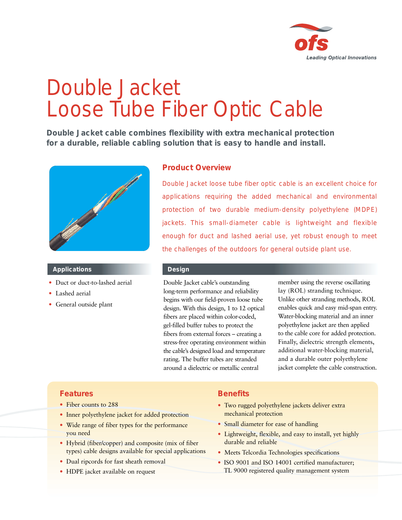

# Double Jacket Loose Tube Fiber Optic Cable

**Double Jacket cable combines flexibility with extra mechanical protection for a durable, reliable cabling solution that is easy to handle and install.**



#### **Applications**

- Duct or duct-to-lashed aerial
- Lashed aerial
- General outside plant

# **Product Overview**

Double Jacket loose tube fiber optic cable is an excellent choice for applications requiring the added mechanical and environmental protection of two durable medium-density polyethylene (MDPE) jackets. This small-diameter cable is lightweight and flexible enough for duct and lashed aerial use, yet robust enough to meet the challenges of the outdoors for general outside plant use.

### **Design**

Double Jacket cable's outstanding long-term performance and reliability begins with our field-proven loose tube design. With this design, 1 to 12 optical fibers are placed within color-coded, gel-filled buffer tubes to protect the fibers from external forces – creating a stress-free operating environment within the cable's designed load and temperature rating. The buffer tubes are stranded around a dielectric or metallic central

member using the reverse oscillating lay (ROL) stranding technique. Unlike other stranding methods, ROL enables quick and easy mid-span entry. Water-blocking material and an inner polyethylene jacket are then applied to the cable core for added protection. Finally, dielectric strength elements, additional water-blocking material, and a durable outer polyethylene jacket complete the cable construction.

## **Features**

- Fiber counts to 288
- Inner polyethylene jacket for added protection
- Wide range of fiber types for the performance you need
- Hybrid (fiber/copper) and composite (mix of fiber types) cable designs available for special applications
- Dual ripcords for fast sheath removal
- HDPE jacket available on request

# **Benefits**

- Two rugged polyethylene jackets deliver extra mechanical protection
- Small diameter for ease of handling
- Lightweight, flexible, and easy to install, yet highly durable and reliable
- Meets Telcordia Technologies specifications
- ISO 9001 and ISO 14001 certified manufacturer; TL 9000 registered quality management system